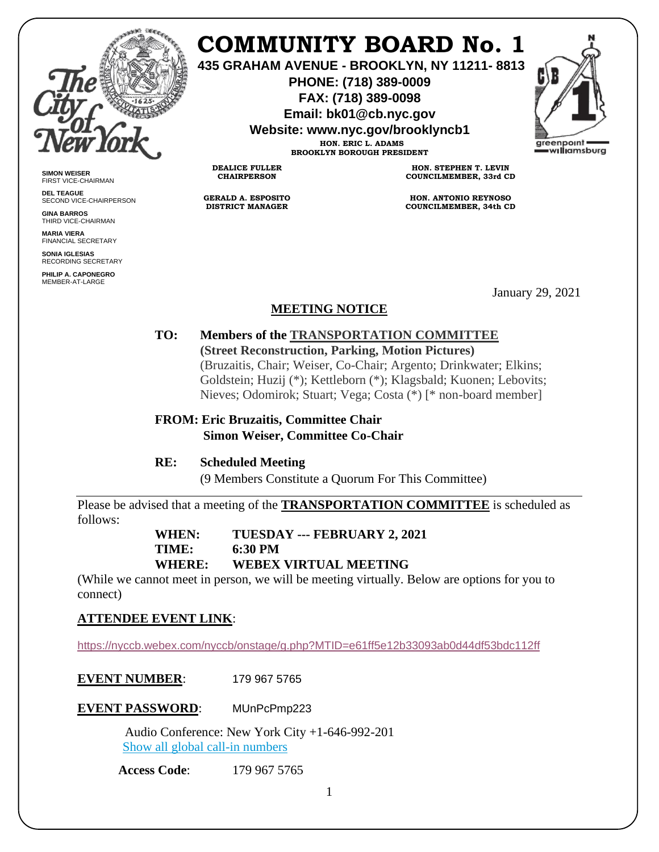

**SIMON WEISER** FIRST VICE-CHAIRMAN **DEL TEAGUE**

**GINA BARROS** THIRD VICE-CHAIRMAN **MARIA VIERA** FINANCIAL SECRETARY **SONIA IGLESIAS** RECORDING SECRETARY **PHILIP A. CAPONEGRO** MEMBER-AT-LARGE

SECOND VICE-CHAIRPERSON

# **COMMUNITY BOARD No. 1**

**435 GRAHAM AVENUE - BROOKLYN, NY 11211- 8813**

**PHONE: (718) 389-0009 FAX: (718) 389-0098**

**Email: bk01@cb.nyc.gov**

**Website: www.nyc.gov/brooklyncb1**

**HON. ERIC L. ADAMS BROOKLYN BOROUGH PRESIDENT**

**DEALICE FULLER CHAIRPERSON**

**GERALD A. ESPOSITO DISTRICT MANAGER**

**HON. STEPHEN T. LEVIN COUNCILMEMBER, 33rd CD**

**HON. ANTONIO REYNOSO COUNCILMEMBER, 34th CD**

January 29, 2021

# **MEETING NOTICE**

**TO: Members of the TRANSPORTATION COMMITTEE (Street Reconstruction, Parking, Motion Pictures)** (Bruzaitis, Chair; Weiser, Co-Chair; Argento; Drinkwater; Elkins; Goldstein; Huzij (\*); Kettleborn (\*); Klagsbald; Kuonen; Lebovits; Nieves; Odomirok; Stuart; Vega; Costa (\*) [\* non-board member]

**FROM: Eric Bruzaitis, Committee Chair Simon Weiser, Committee Co-Chair**

**RE: Scheduled Meeting**

(9 Members Constitute a Quorum For This Committee)

Please be advised that a meeting of the **TRANSPORTATION COMMITTEE** is scheduled as follows:

**WHEN: TUESDAY --- FEBRUARY 2, 2021**

**TIME: 6:30 PM**

**WHERE: WEBEX VIRTUAL MEETING**

(While we cannot meet in person, we will be meeting virtually. Below are options for you to connect)

# **ATTENDEE EVENT LINK**[:](https://nyccb.webex.com/nyccb/onstage/g.php?MTID=e9ca7f59de25bdf0b266561338696eb83)

<https://nyccb.webex.com/nyccb/onstage/g.php?MTID=e61ff5e12b33093ab0d44df53bdc112ff>

**EVENT NUMBER:** 179 967 5765

**EVENT PASSWORD**: MUnPcPmp223

 Audio Conference: New York City +1-646-992-201 [Show all global call-in numbers](https://nyccb.webex.com/cmp3300/webcomponents/widget/globalcallin/globalcallin.do?siteurl=nyccb&serviceType=EC&eventID=1101180212&tollFree=0)

**Access Code**: 179 967 5765